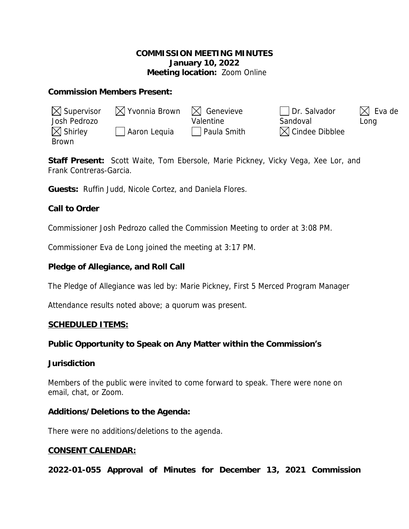## **COMMISSION MEETING MINUTES January 10, 2022 Meeting location:** Zoom Online

## **Commission Members Present:**

| $\boxtimes$ Supervisor | $\boxtimes$ Yvonnia Brown | $\bowtie$ Genevieve | Dr. Salvador               | $\boxtimes$ Eva de |
|------------------------|---------------------------|---------------------|----------------------------|--------------------|
| Josh Pedrozo           |                           | Valentine           | Sandoval                   | Long               |
| $\boxtimes$ Shirley    | Aaron Lequia              | Paula Smith         | $\boxtimes$ Cindee Dibblee |                    |
| Brown                  |                           |                     |                            |                    |

**Staff Present:** Scott Waite, Tom Ebersole, Marie Pickney, Vicky Vega, Xee Lor, and Frank Contreras-Garcia.

**Guests:** Ruffin Judd, Nicole Cortez, and Daniela Flores.

# **Call to Order**

Commissioner Josh Pedrozo called the Commission Meeting to order at 3:08 PM.

Commissioner Eva de Long joined the meeting at 3:17 PM.

# **Pledge of Allegiance, and Roll Call**

The Pledge of Allegiance was led by: Marie Pickney, First 5 Merced Program Manager

Attendance results noted above; a quorum was present.

### **SCHEDULED ITEMS:**

# **Public Opportunity to Speak on Any Matter within the Commission's**

### **Jurisdiction**

Members of the public were invited to come forward to speak. There were none on email, chat, or Zoom.

### **Additions/Deletions to the Agenda:**

There were no additions/deletions to the agenda.

# **CONSENT CALENDAR:**

**2022-01-055 Approval of Minutes for December 13, 2021 Commission**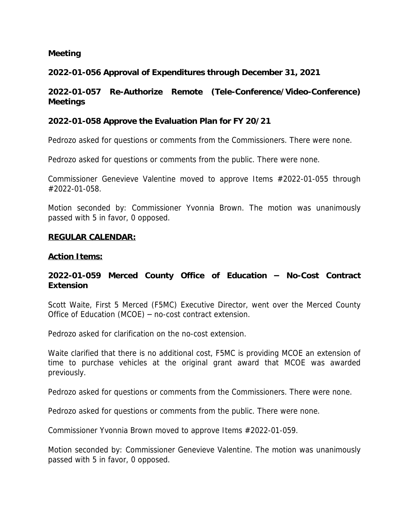### **Meeting**

## **2022-01-056 Approval of Expenditures through December 31, 2021**

## **2022-01-057 Re-Authorize Remote (Tele-Conference/Video-Conference) Meetings**

### **2022-01-058 Approve the Evaluation Plan for FY 20/21**

Pedrozo asked for questions or comments from the Commissioners. There were none.

Pedrozo asked for questions or comments from the public. There were none.

Commissioner Genevieve Valentine moved to approve Items #2022-01-055 through #2022-01-058.

Motion seconded by: Commissioner Yvonnia Brown. The motion was unanimously passed with 5 in favor, 0 opposed.

#### **REGULAR CALENDAR:**

#### **Action Items:**

## **2022-01-059 Merced County Office of Education – No-Cost Contract Extension**

Scott Waite, First 5 Merced (F5MC) Executive Director, went over the Merced County Office of Education (MCOE) – no-cost contract extension.

Pedrozo asked for clarification on the no-cost extension.

Waite clarified that there is no additional cost, F5MC is providing MCOE an extension of time to purchase vehicles at the original grant award that MCOE was awarded previously.

Pedrozo asked for questions or comments from the Commissioners. There were none.

Pedrozo asked for questions or comments from the public. There were none.

Commissioner Yvonnia Brown moved to approve Items #2022-01-059.

Motion seconded by: Commissioner Genevieve Valentine. The motion was unanimously passed with 5 in favor, 0 opposed.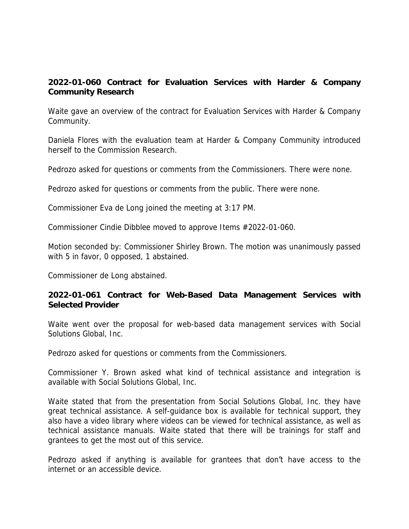# **2022-01-060 Contract for Evaluation Services with Harder & Company Community Research**

Waite gave an overview of the contract for Evaluation Services with Harder & Company Community.

Daniela Flores with the evaluation team at Harder & Company Community introduced herself to the Commission Research.

Pedrozo asked for questions or comments from the Commissioners. There were none.

Pedrozo asked for questions or comments from the public. There were none.

Commissioner Eva de Long joined the meeting at 3:17 PM.

Commissioner Cindie Dibblee moved to approve Items #2022-01-060.

Motion seconded by: Commissioner Shirley Brown. The motion was unanimously passed with 5 in favor, 0 opposed, 1 abstained.

Commissioner de Long abstained.

## **2022-01-061 Contract for Web-Based Data Management Services with Selected Provider**

Waite went over the proposal for web-based data management services with Social Solutions Global, Inc.

Pedrozo asked for questions or comments from the Commissioners.

Commissioner Y. Brown asked what kind of technical assistance and integration is available with Social Solutions Global, Inc.

Waite stated that from the presentation from Social Solutions Global, Inc. they have great technical assistance. A self-guidance box is available for technical support, they also have a video library where videos can be viewed for technical assistance, as well as technical assistance manuals. Waite stated that there will be trainings for staff and grantees to get the most out of this service.

Pedrozo asked if anything is available for grantees that don't have access to the internet or an accessible device.